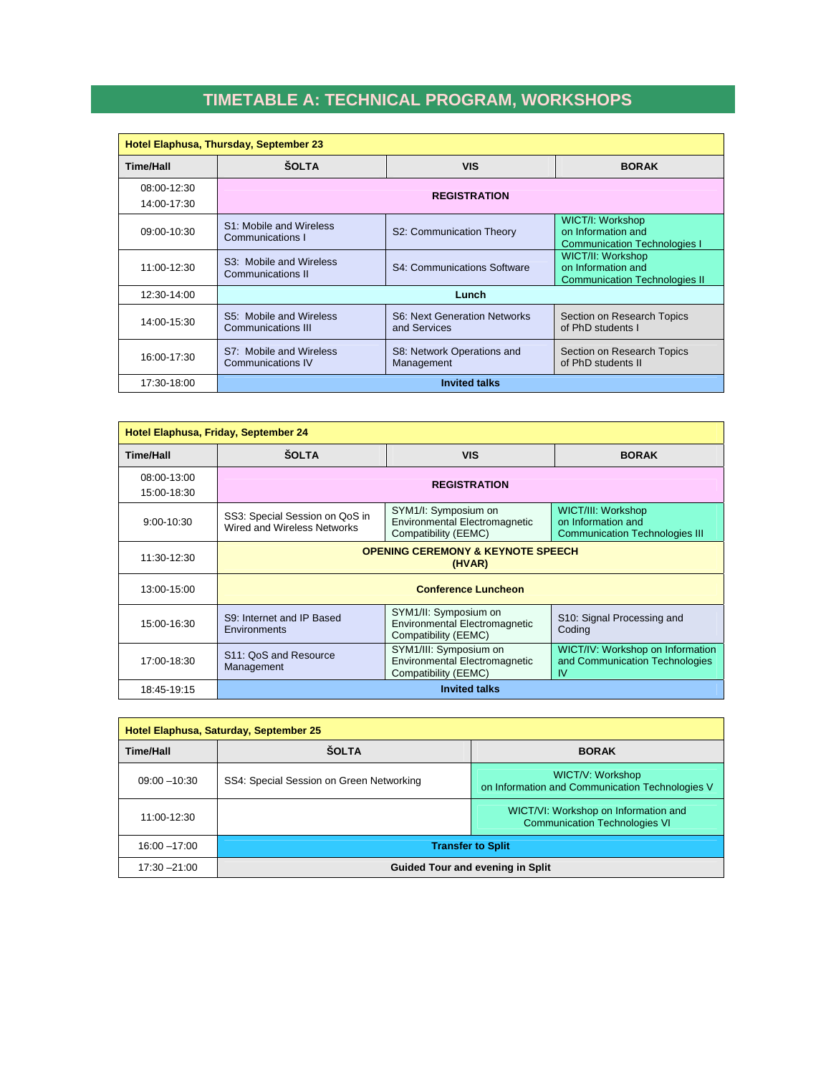## **TIMETABLE A: TECHNICAL PROGRAM, WORKSHOPS**

| Hotel Elaphusa, Thursday, September 23 |                                               |                                              |                                                                                 |
|----------------------------------------|-----------------------------------------------|----------------------------------------------|---------------------------------------------------------------------------------|
| <b>Time/Hall</b>                       | <b>SOLTA</b>                                  | <b>VIS</b>                                   | <b>BORAK</b>                                                                    |
| 08:00-12:30<br>14:00-17:30             | <b>REGISTRATION</b>                           |                                              |                                                                                 |
| 09:00-10:30                            | S1: Mobile and Wireless<br>Communications I   | S2: Communication Theory                     | WICT/I: Workshop<br>on Information and<br><b>Communication Technologies I</b>   |
| 11:00-12:30                            | S3: Mobile and Wireless<br>Communications II  | S4: Communications Software                  | WICT/II: Workshop<br>on Information and<br><b>Communication Technologies II</b> |
| 12:30-14:00                            | Lunch                                         |                                              |                                                                                 |
| 14:00-15:30                            | S5: Mobile and Wireless<br>Communications III | S6: Next Generation Networks<br>and Services | Section on Research Topics<br>of PhD students I                                 |
| 16:00-17:30                            | S7: Mobile and Wireless<br>Communications IV  | S8: Network Operations and<br>Management     | Section on Research Topics<br>of PhD students II                                |
| 17:30-18:00                            | <b>Invited talks</b>                          |                                              |                                                                                 |

| Hotel Elaphusa, Friday, September 24 |                                                               |                                                                                        |                                                                                   |
|--------------------------------------|---------------------------------------------------------------|----------------------------------------------------------------------------------------|-----------------------------------------------------------------------------------|
| <b>Time/Hall</b>                     | <b>ŠOLTA</b>                                                  | <b>VIS</b>                                                                             | <b>BORAK</b>                                                                      |
| 08:00-13:00<br>15:00-18:30           | <b>REGISTRATION</b>                                           |                                                                                        |                                                                                   |
| $9:00 - 10:30$                       | SS3: Special Session on QoS in<br>Wired and Wireless Networks | SYM1/I: Symposium on<br><b>Environmental Electromagnetic</b><br>Compatibility (EEMC)   | WICT/III: Workshop<br>on Information and<br><b>Communication Technologies III</b> |
| 11:30-12:30                          | <b>OPENING CEREMONY &amp; KEYNOTE SPEECH</b><br>(HVAR)        |                                                                                        |                                                                                   |
| 13:00-15:00                          | <b>Conference Luncheon</b>                                    |                                                                                        |                                                                                   |
| 15:00-16:30                          | S9: Internet and IP Based<br><b>Environments</b>              | SYM1/II: Symposium on<br><b>Environmental Electromagnetic</b><br>Compatibility (EEMC)  | S10: Signal Processing and<br>Coding                                              |
| 17:00-18:30                          | S11: OoS and Resource<br>Management                           | SYM1/III: Symposium on<br><b>Environmental Electromagnetic</b><br>Compatibility (EEMC) | WICT/IV: Workshop on Information<br>and Communication Technologies<br>IV          |
| 18:45-19:15                          |                                                               | <b>Invited talks</b>                                                                   |                                                                                   |

| Hotel Elaphusa, Saturday, September 25 |                                          |                                                                              |  |
|----------------------------------------|------------------------------------------|------------------------------------------------------------------------------|--|
| <b>Time/Hall</b>                       | <b>ŠOLTA</b>                             | <b>BORAK</b>                                                                 |  |
| $09:00 - 10:30$                        | SS4: Special Session on Green Networking | WICT/V: Workshop<br>on Information and Communication Technologies V          |  |
| 11:00-12:30                            |                                          | WICT/VI: Workshop on Information and<br><b>Communication Technologies VI</b> |  |
| $16:00 - 17:00$                        | <b>Transfer to Split</b>                 |                                                                              |  |
| $17:30 - 21:00$                        | <b>Guided Tour and evening in Split</b>  |                                                                              |  |